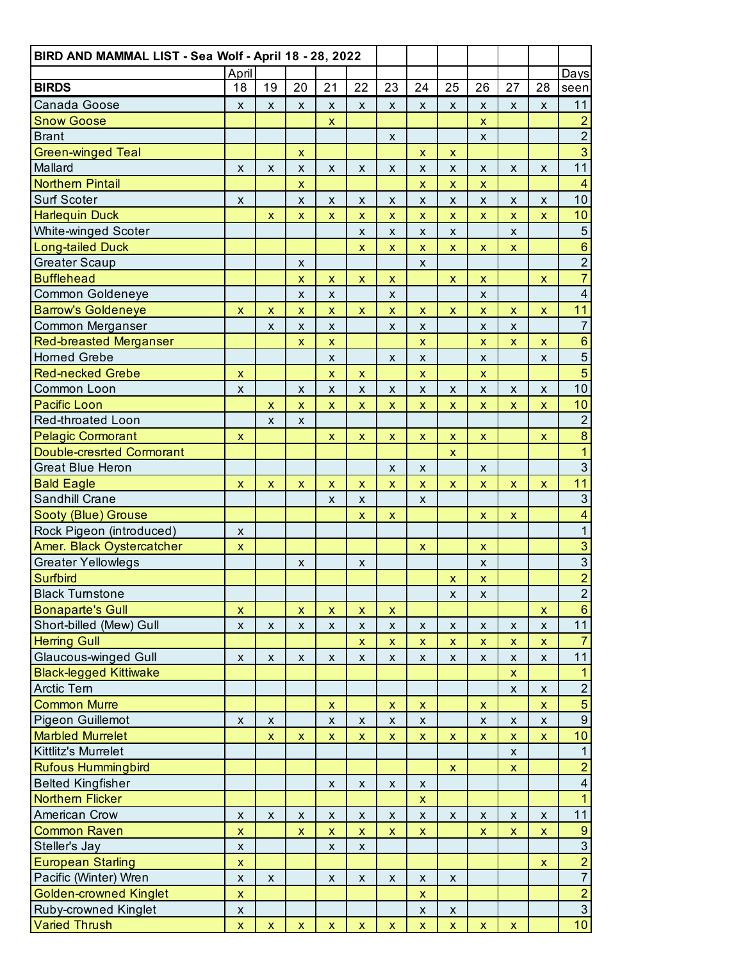| BIRD AND MAMMAL LIST - Sea Wolf - April 18 - 28, 2022 |                           |                           |                           |                           |                    |                           |                           |                           |                           |                           |                    |                         |
|-------------------------------------------------------|---------------------------|---------------------------|---------------------------|---------------------------|--------------------|---------------------------|---------------------------|---------------------------|---------------------------|---------------------------|--------------------|-------------------------|
| <b>BIRDS</b>                                          | April                     |                           |                           |                           | 22                 |                           |                           |                           |                           |                           |                    | Days                    |
|                                                       | 18                        | 19                        | 20                        | 21                        |                    | 23                        | 24                        | 25                        | 26                        | 27                        | 28                 | seen                    |
| Canada Goose                                          | X                         | X                         | X                         | X                         | X                  | X                         | $\pmb{\mathsf{X}}$        | X                         | X                         | X                         | X                  | 11                      |
| <b>Snow Goose</b>                                     |                           |                           |                           | $\mathsf{x}$              |                    |                           |                           |                           | $\pmb{\mathsf{x}}$        |                           |                    | $\frac{2}{2}$           |
| <b>Brant</b>                                          |                           |                           |                           |                           |                    | $\pmb{\mathsf{x}}$        |                           |                           | $\mathsf{x}$              |                           |                    | $\overline{3}$          |
| <b>Green-winged Teal</b>                              |                           |                           | X                         |                           |                    |                           | $\pmb{\mathsf{x}}$        | $\pmb{\mathsf{x}}$        |                           |                           |                    |                         |
| Mallard                                               | X                         | X                         | X                         | X                         | X                  | X                         | X                         | X                         | X                         | X                         | X                  | 11                      |
| <b>Northern Pintail</b>                               |                           |                           | $\boldsymbol{\mathsf{x}}$ |                           |                    |                           | $\pmb{\mathsf{x}}$        | $\pmb{\mathsf{x}}$        | $\pmb{\mathsf{x}}$        |                           |                    | $\overline{4}$          |
| Surf Scoter                                           | $\boldsymbol{\mathsf{x}}$ |                           | $\pmb{\mathsf{x}}$        | $\pmb{\mathsf{x}}$        | $\pmb{\mathsf{X}}$ | $\pmb{\mathsf{x}}$        | $\pmb{\mathsf{x}}$        | $\pmb{\mathsf{x}}$        | $\pmb{\times}$            | X                         | $\pmb{\times}$     | 10                      |
| <b>Harlequin Duck</b>                                 |                           | $\pmb{\mathsf{x}}$        | $\mathsf{x}$              | $\pmb{\mathsf{x}}$        | $\pmb{\mathsf{x}}$ | $\pmb{\mathsf{x}}$        | $\boldsymbol{\mathsf{x}}$ | $\pmb{\mathsf{X}}$        | $\pmb{\times}$            | $\bar{\mathbf{x}}$        | $\pmb{\mathsf{x}}$ | 10                      |
| White-winged Scoter                                   |                           |                           |                           |                           | $\pmb{\times}$     | $\pmb{\times}$            | $\boldsymbol{\mathsf{x}}$ | $\pmb{\times}$            |                           | X                         |                    | $\overline{5}$          |
| <b>Long-tailed Duck</b>                               |                           |                           |                           |                           | $\pmb{\mathsf{x}}$ | $\pmb{\mathsf{x}}$        | $\bar{\mathbf{X}}$        | $\pmb{\mathsf{x}}$        | $\mathsf{x}$              | $\mathsf{x}$              |                    | $\mathbf 6$             |
| <b>Greater Scaup</b>                                  |                           |                           | X                         |                           |                    |                           | X                         |                           |                           |                           |                    | $\overline{2}$          |
| <b>Bufflehead</b>                                     |                           |                           | $\pmb{\mathsf{x}}$        | $\pmb{\mathsf{x}}$        | x                  | $\boldsymbol{\mathsf{X}}$ |                           | $\pmb{\mathsf{X}}$        | $\mathsf{x}$              |                           | $\pmb{\mathsf{x}}$ | $\overline{7}$          |
| Common Goldeneye                                      |                           |                           | $\pmb{\mathsf{X}}$        | $\pmb{\mathsf{x}}$        |                    | $\mathsf{x}$              |                           |                           | $\pmb{\times}$            |                           |                    | $\overline{4}$          |
| <b>Barrow's Goldeneye</b>                             | $\pmb{\mathsf{x}}$        | X                         | $\mathsf{x}$              | $\pmb{\times}$            | $\pmb{\mathsf{x}}$ | $\pmb{\mathsf{x}}$        | $\pmb{\mathsf{x}}$        | $\pmb{\mathsf{x}}$        | $\pmb{\mathsf{x}}$        | $\pmb{\mathsf{X}}$        | $\pmb{\mathsf{x}}$ | $11$                    |
| Common Merganser                                      |                           | X                         | $\boldsymbol{\mathsf{x}}$ | $\pmb{\times}$            |                    | $\pmb{\times}$            | $\pmb{\times}$            |                           | $\pmb{\mathsf{X}}$        | X                         |                    | $\overline{7}$          |
| <b>Red-breasted Merganser</b>                         |                           |                           | $\boldsymbol{\mathsf{x}}$ | $\pmb{\mathsf{x}}$        |                    |                           | $\pmb{\mathsf{x}}$        |                           | $\bar{\mathbf{X}}$        | $\bar{\mathbf{X}}$        | $\pmb{\mathsf{x}}$ | $\mathbf 6$             |
| <b>Horned Grebe</b>                                   |                           |                           |                           | X                         |                    | $\mathsf{x}$              | $\boldsymbol{\mathsf{x}}$ |                           | $\mathsf{x}$              |                           | X                  | $\overline{5}$          |
| <b>Red-necked Grebe</b>                               | $\pmb{\mathsf{x}}$        |                           |                           | $\pmb{\mathsf{x}}$        | x                  |                           | $\pmb{\mathsf{x}}$        |                           | $\boldsymbol{\mathsf{X}}$ |                           |                    | $\overline{5}$          |
| Common Loon                                           | $\pmb{\times}$            |                           | $\pmb{\mathsf{x}}$        | $\pmb{\times}$            | X                  | X                         | $\pmb{\mathsf{x}}$        | $\pmb{\times}$            | $\pmb{\times}$            | X                         | $\pmb{\times}$     | 10                      |
| <b>Pacific Loon</b>                                   |                           | X                         | $\mathsf{x}$              | $\pmb{\mathsf{x}}$        | $\pmb{\mathsf{x}}$ | $\boldsymbol{\mathsf{X}}$ | $\pmb{\mathsf{x}}$        | $\boldsymbol{\mathsf{x}}$ | $\boldsymbol{\mathsf{x}}$ | $\pmb{\times}$            | $\pmb{\mathsf{x}}$ | 10                      |
| Red-throated Loon                                     |                           | $\boldsymbol{\mathsf{x}}$ | X                         |                           |                    |                           |                           |                           |                           |                           |                    | $\overline{2}$          |
| <b>Pelagic Cormorant</b>                              | $\mathsf{x}$              |                           |                           | $\boldsymbol{\mathsf{X}}$ | x                  | $\boldsymbol{\mathsf{X}}$ | $\pmb{\mathsf{x}}$        | $\pmb{\mathsf{x}}$        | $\boldsymbol{\mathsf{X}}$ |                           | $\pmb{\mathsf{x}}$ | $\bf 8$                 |
| <b>Double-cresrted Cormorant</b>                      |                           |                           |                           |                           |                    |                           |                           | $\boldsymbol{\mathsf{x}}$ |                           |                           |                    | $\overline{1}$          |
| <b>Great Blue Heron</b>                               |                           |                           |                           |                           |                    | X                         | X                         |                           | X                         |                           |                    | $\overline{3}$          |
| <b>Bald Eagle</b>                                     | $\mathsf{x}$              | X                         | $\mathsf{x}$              | $\pmb{\mathsf{x}}$        | $\pmb{\mathsf{X}}$ | $\boldsymbol{\mathsf{X}}$ | $\pmb{\mathsf{X}}$        | $\pmb{\mathsf{x}}$        | $\boldsymbol{\mathsf{x}}$ | $\boldsymbol{\mathsf{X}}$ | $\pmb{\mathsf{x}}$ | 11                      |
| Sandhill Crane                                        |                           |                           |                           | $\boldsymbol{\mathsf{x}}$ | $\pmb{\times}$     |                           | $\boldsymbol{\mathsf{x}}$ |                           |                           |                           |                    | $\overline{3}$          |
| Sooty (Blue) Grouse                                   |                           |                           |                           |                           | $\pmb{\mathsf{X}}$ | $\boldsymbol{\mathsf{x}}$ |                           |                           | $\mathsf{x}$              | X                         |                    | $\overline{4}$          |
| Rock Pigeon (introduced)                              | X                         |                           |                           |                           |                    |                           |                           |                           |                           |                           |                    | $\overline{1}$          |
| Amer. Black Oystercatcher                             | $\pmb{\mathsf{x}}$        |                           |                           |                           |                    |                           | X                         |                           | $\pmb{\mathsf{X}}$        |                           |                    | $\frac{3}{2}$           |
| <b>Greater Yellowlegs</b>                             |                           |                           | X                         |                           | X                  |                           |                           |                           | X                         |                           |                    |                         |
| Surfbird                                              |                           |                           |                           |                           |                    |                           |                           | $\pmb{\mathsf{x}}$        | $\pmb{\mathsf{x}}$        |                           |                    |                         |
| <b>Black Turnstone</b>                                |                           |                           |                           |                           |                    |                           |                           | $\pmb{\mathsf{X}}$        | X                         |                           |                    | $\frac{2}{6}$           |
| <b>Bonaparte's Gull</b>                               | $\pmb{\mathsf{X}}$        |                           | $\boldsymbol{\mathsf{x}}$ | $\pmb{\mathsf{X}}$        | $\pmb{\mathsf{X}}$ | $\boldsymbol{\mathsf{x}}$ |                           |                           |                           |                           | X                  |                         |
| Short-billed (Mew) Gull                               | $\pmb{\mathsf{X}}$        | X                         | $\pmb{\mathsf{X}}$        | $\pmb{\mathsf{X}}$        | $\pmb{\mathsf{X}}$ | $\boldsymbol{\mathsf{X}}$ | $\pmb{\mathsf{x}}$        | $\pmb{\mathsf{x}}$        | $\pmb{\mathsf{x}}$        | X                         | $\pmb{\mathsf{X}}$ | 11                      |
| <b>Herring Gull</b>                                   |                           |                           |                           |                           | $\pmb{\mathsf{X}}$ | $\boldsymbol{\mathsf{X}}$ | $\boldsymbol{\mathsf{X}}$ | $\pmb{\mathsf{x}}$        | $\pmb{\mathsf{x}}$        | $\pmb{\mathsf{X}}$        | $\pmb{\mathsf{X}}$ | $\overline{7}$          |
| <b>Glaucous-winged Gull</b>                           | X                         | X                         | X                         | X                         | X                  | X                         | X                         | X                         | X                         | X                         | X                  | 11                      |
| <b>Black-legged Kittiwake</b>                         |                           |                           |                           |                           |                    |                           |                           |                           |                           | $\bar{\mathbf{X}}$        |                    | $\overline{1}$          |
| Arctic Tern                                           |                           |                           |                           |                           |                    |                           |                           |                           |                           | $\boldsymbol{\mathsf{x}}$ | $\pmb{\mathsf{x}}$ | $\overline{2}$          |
| <b>Common Murre</b>                                   |                           |                           |                           | $\pmb{\mathsf{x}}$        |                    | $\boldsymbol{\mathsf{X}}$ | $\pmb{\mathsf{X}}$        |                           | $\pmb{\mathsf{x}}$        |                           | $\pmb{\mathsf{x}}$ | $\overline{5}$          |
| Pigeon Guillemot                                      | X                         | X                         |                           | $\pmb{\mathsf{X}}$        | $\pmb{\mathsf{x}}$ | $\pmb{\mathsf{X}}$        | $\pmb{\mathsf{X}}$        |                           | $\pmb{\mathsf{X}}$        | $\pmb{\mathsf{X}}$        | $\pmb{\mathsf{X}}$ | $\overline{9}$          |
| <b>Marbled Murrelet</b>                               |                           | x                         | X                         | $\boldsymbol{\mathsf{X}}$ | x                  | $\boldsymbol{\mathsf{X}}$ | $\pmb{\mathsf{x}}$        | $\pmb{\mathsf{X}}$        | $\pmb{\mathsf{X}}$        | $\pmb{\mathsf{X}}$        | $\mathsf{x}$       | 10                      |
| Kittlitz's Murrelet                                   |                           |                           |                           |                           |                    |                           |                           |                           |                           | X                         |                    | $\mathbf{1}$            |
| <b>Rufous Hummingbird</b>                             |                           |                           |                           |                           |                    |                           |                           | $\pmb{\mathsf{x}}$        |                           | $\boldsymbol{\mathsf{X}}$ |                    | $\overline{2}$          |
| <b>Belted Kingfisher</b>                              |                           |                           |                           | $\mathsf{x}$              | $\pmb{\mathsf{x}}$ | $\pmb{\mathsf{x}}$        | $\pmb{\mathsf{x}}$        |                           |                           |                           |                    | $\overline{\mathbf{4}}$ |
| <b>Northern Flicker</b>                               |                           |                           |                           |                           |                    |                           | $\pmb{\mathsf{x}}$        |                           |                           |                           |                    | $\overline{1}$          |
| American Crow                                         | $\pmb{\mathsf{x}}$        | $\pmb{\mathsf{x}}$        | $\pmb{\mathsf{X}}$        | $\pmb{\mathsf{x}}$        | $\pmb{\mathsf{X}}$ | $\pmb{\mathsf{X}}$        | $\pmb{\mathsf{X}}$        | $\pmb{\mathsf{x}}$        | X                         | $\pmb{\mathsf{x}}$        | $\mathsf{x}$       | 11                      |
| <b>Common Raven</b>                                   | $\pmb{\mathsf{X}}$        |                           | $\mathsf{x}$              | $\pmb{\mathsf{X}}$        | $\mathsf X$        | $\boldsymbol{\mathsf{X}}$ | $\pmb{\mathsf{x}}$        |                           | $\pmb{\mathsf{X}}$        | $\boldsymbol{\mathsf{X}}$ | $\pmb{\mathsf{x}}$ |                         |
| Steller's Jay                                         | $\pmb{\mathsf{x}}$        |                           |                           | X                         | X                  |                           |                           |                           |                           |                           |                    | $\frac{9}{3}$           |
| <b>European Starling</b>                              | $\pmb{\mathsf{X}}$        |                           |                           |                           |                    |                           |                           |                           |                           |                           | $\mathsf{x}$       |                         |
| Pacific (Winter) Wren                                 | $\pmb{\mathsf{X}}$        | $\pmb{\mathsf{x}}$        |                           | $\pmb{\mathsf{X}}$        | $\pmb{\mathsf{x}}$ | $\pmb{\mathsf{x}}$        | $\pmb{\mathsf{x}}$        | $\boldsymbol{\mathsf{x}}$ |                           |                           |                    | $\frac{2}{7}$           |
| <b>Golden-crowned Kinglet</b>                         | $\pmb{\mathsf{X}}$        |                           |                           |                           |                    |                           | $\pmb{\mathsf{x}}$        |                           |                           |                           |                    | $\overline{2}$          |
| Ruby-crowned Kinglet                                  | $\pmb{\mathsf{X}}$        |                           |                           |                           |                    |                           | $\pmb{\mathsf{X}}$        | X                         |                           |                           |                    | $\overline{3}$          |
| <b>Varied Thrush</b>                                  | $\boldsymbol{\mathsf{X}}$ | X                         | $\mathsf{x}$              | $\pmb{\mathsf{x}}$        | $\pmb{\mathsf{X}}$ | $\pmb{\mathsf{x}}$        | $\pmb{\mathsf{x}}$        | $\pmb{\mathsf{x}}$        | $\pmb{\mathsf{X}}$        | $\pmb{\mathsf{x}}$        |                    | 10                      |